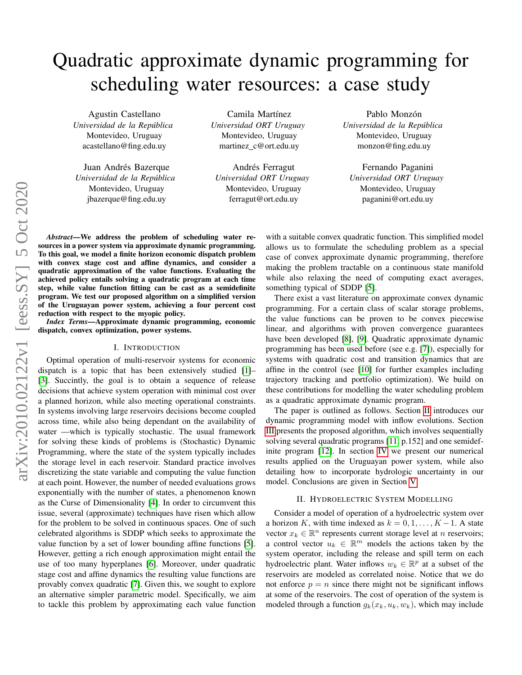# Quadratic approximate dynamic programming for scheduling water resources: a case study

Agustin Castellano *Universidad de la Republica ´* Montevideo, Uruguay acastellano@fing.edu.uy

Juan Andrés Bazerque *Universidad de la Republica ´* Montevideo, Uruguay jbazerque@fing.edu.uy

Camila Martínez *Universidad ORT Uruguay* Montevideo, Uruguay martinez c@ort.edu.uy

Andrés Ferragut *Universidad ORT Uruguay* Montevideo, Uruguay ferragut@ort.edu.uy

Pablo Monzón *Universidad de la Republica ´* Montevideo, Uruguay monzon@fing.edu.uy

Fernando Paganini *Universidad ORT Uruguay* Montevideo, Uruguay paganini@ort.edu.uy

*Abstract*—We address the problem of scheduling water resources in a power system via approximate dynamic programming. To this goal, we model a finite horizon economic dispatch problem with convex stage cost and affine dynamics, and consider a quadratic approximation of the value functions. Evaluating the achieved policy entails solving a quadratic program at each time step, while value function fitting can be cast as a semidefinite program. We test our proposed algorithm on a simplified version of the Uruguayan power system, achieving a four percent cost reduction with respect to the myopic policy.

*Index Terms*—Approximate dynamic programming, economic dispatch, convex optimization, power systems.

# I. INTRODUCTION

Optimal operation of multi-reservoir systems for economic dispatch is a topic that has been extensively studied [\[1\]](#page-5-0)– [\[3\]](#page-5-1). Succintly, the goal is to obtain a sequence of release decisions that achieve system operation with minimal cost over a planned horizon, while also meeting operational constraints. In systems involving large reservoirs decisions become coupled across time, while also being dependant on the availability of water —which is typically stochastic. The usual framework for solving these kinds of problems is (Stochastic) Dynamic Programming, where the state of the system typically includes the storage level in each reservoir. Standard practice involves discretizing the state variable and computing the value function at each point. However, the number of needed evaluations grows exponentially with the number of states, a phenomenon known as the Curse of Dimensionality [\[4\]](#page-5-2). In order to circumvent this issue, several (approximate) techniques have risen which allow for the problem to be solved in continuous spaces. One of such celebrated algorithms is SDDP which seeks to approximate the value function by a set of lower bounding affine functions [\[5\]](#page-5-3). However, getting a rich enough approximation might entail the use of too many hyperplanes [\[6\]](#page-5-4). Moreover, under quadratic stage cost and affine dynamics the resulting value functions are provably convex quadratic [\[7\]](#page-5-5). Given this, we sought to explore an alternative simpler parametric model. Specifically, we aim to tackle this problem by approximating each value function with a suitable convex quadratic function. This simplified model allows us to formulate the scheduling problem as a special case of convex approximate dynamic programming, therefore making the problem tractable on a continuous state manifold while also relaxing the need of computing exact averages, something typical of SDDP [\[5\]](#page-5-3).

There exist a vast literature on approximate convex dynamic programming. For a certain class of scalar storage problems, the value functions can be proven to be convex piecewise linear, and algorithms with proven convergence guarantees have been developed [\[8\]](#page-5-6), [\[9\]](#page-5-7). Quadratic approximate dynamic programming has been used before (see e.g. [\[7\]](#page-5-5)), especially for systems with quadratic cost and transition dynamics that are affine in the control (see [\[10\]](#page-5-8) for further examples including trajectory tracking and portfolio optimization). We build on these contributions for modelling the water scheduling problem as a quadratic approximate dynamic program.

The paper is outlined as follows. Section [II](#page-0-0) introduces our dynamic programming model with inflow evolutions. Section [III](#page-1-0) presents the proposed algorithm, which involves sequentially solving several quadratic programs [\[11,](#page-5-9) p.152] and one semidefinite program [\[12\]](#page-5-10). In section [IV](#page-2-0) we present our numerical results applied on the Uruguayan power system, while also detailing how to incorporate hydrologic uncertainty in our model. Conclusions are given in Section [V.](#page-5-11)

#### II. HYDROELECTRIC SYSTEM MODELLING

<span id="page-0-0"></span>Consider a model of operation of a hydroelectric system over a horizon K, with time indexed as  $k = 0, 1, \ldots, K - 1$ . A state vector  $x_k \in \mathbb{R}^n$  represents current storage level at n reservoirs; a control vector  $u_k \in \mathbb{R}^m$  models the actions taken by the system operator, including the release and spill term on each hydroelectric plant. Water inflows  $w_k \in \mathbb{R}^p$  at a subset of the reservoirs are modeled as correlated noise. Notice that we do not enforce  $p = n$  since there might not be significant inflows at some of the reservoirs. The cost of operation of the system is modeled through a function  $g_k(x_k, u_k, w_k)$ , which may include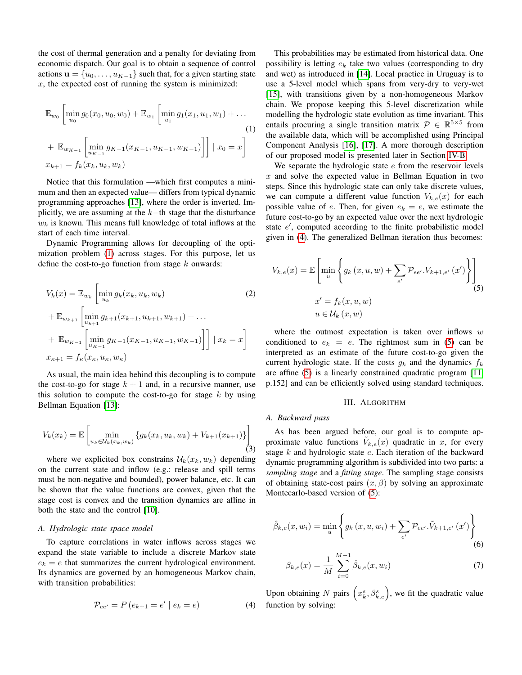the cost of thermal generation and a penalty for deviating from economic dispatch. Our goal is to obtain a sequence of control actions  $\mathbf{u} = \{u_0, \dots, u_{K-1}\}\$  such that, for a given starting state  $x$ , the expected cost of running the system is minimized:

$$
\mathbb{E}_{w_0} \left[ \min_{u_0} g_0(x_0, u_0, w_0) + \mathbb{E}_{w_1} \left[ \min_{u_1} g_1(x_1, u_1, w_1) + \dots \right] \right]
$$
\n
$$
+ \mathbb{E}_{w_{K-1}} \left[ \min_{u_{K-1}} g_{K-1}(x_{K-1}, u_{K-1}, w_{K-1}) \right] \middle| \ x_0 = x \right]
$$
\n
$$
x_{k+1} = f_k(x_k, u_k, w_k)
$$
\n(1)

Notice that this formulation —which first computes a minimum and then an expected value— differs from typical dynamic programming approaches [\[13\]](#page-5-12), where the order is inverted. Implicitly, we are assuming at the  $k$ −th stage that the disturbance  $w<sub>k</sub>$  is known. This means full knowledge of total inflows at the start of each time interval.

Dynamic Programming allows for decoupling of the optimization problem [\(1\)](#page-1-1) across stages. For this purpose, let us define the cost-to-go function from stage  $k$  onwards:

$$
V_k(x) = \mathbb{E}_{w_k} \left[ \min_{u_k} g_k(x_k, u_k, w_k) \right]
$$
(2)  
+  $\mathbb{E}_{w_{k+1}} \left[ \min_{u_{k+1}} g_{k+1}(x_{k+1}, u_{k+1}, w_{k+1}) + \dots \right]$   
+  $\mathbb{E}_{w_{K-1}} \left[ \min_{u_{K-1}} g_{K-1}(x_{K-1}, u_{K-1}, w_{K-1}) \right] \right] | x_k = x \right]$   
 $x_{\kappa+1} = f_\kappa(x_\kappa, u_\kappa, w_\kappa)$ 

As usual, the main idea behind this decoupling is to compute the cost-to-go for stage  $k + 1$  and, in a recursive manner, use this solution to compute the cost-to-go for stage  $k$  by using Bellman Equation [\[13\]](#page-5-12):

<span id="page-1-5"></span>
$$
V_k(x_k) = \mathbb{E}\left[\min_{u_k \in \mathcal{U}_k(x_k, w_k)} \{g_k(x_k, u_k, w_k) + V_{k+1}(x_{k+1})\}\right]
$$
(3)

where we explicited box constrains  $\mathcal{U}_k(x_k, w_k)$  depending on the current state and inflow (e.g.: release and spill terms must be non-negative and bounded), power balance, etc. It can be shown that the value functions are convex, given that the stage cost is convex and the transition dynamics are affine in both the state and the control [\[10\]](#page-5-8).

# *A. Hydrologic state space model*

To capture correlations in water inflows across stages we expand the state variable to include a discrete Markov state  $e_k = e$  that summarizes the current hydrological environment. Its dynamics are governed by an homogeneous Markov chain, with transition probabilities:

<span id="page-1-2"></span>
$$
\mathcal{P}_{ee'} = P(e_{k+1} = e' \mid e_k = e)
$$
 (4)

This probabilities may be estimated from historical data. One possibility is letting  $e_k$  take two values (corresponding to dry and wet) as introduced in [\[14\]](#page-5-13). Local practice in Uruguay is to use a 5-level model which spans from very-dry to very-wet [\[15\]](#page-5-14), with transitions given by a non-homogeneous Markov chain. We propose keeping this 5-level discretization while modelling the hydrologic state evolution as time invariant. This entails procuring a single transition matrix  $\mathcal{P} \in \mathbb{R}^{5 \times 5}$  from the available data, which will be accomplished using Principal Component Analysis [\[16\]](#page-5-15), [\[17\]](#page-5-16). A more thorough description of our proposed model is presented later in Section [IV-B.](#page-3-0)

<span id="page-1-1"></span>We separate the hydrologic state e from the reservoir levels  $x$  and solve the expected value in Bellman Equation in two steps. Since this hydrologic state can only take discrete values, we can compute a different value function  $V_{k,e}(x)$  for each possible value of e. Then, for given  $e_k = e$ , we estimate the future cost-to-go by an expected value over the next hydrologic state  $e'$ , computed according to the finite probabilistic model given in [\(4\)](#page-1-2). The generalized Bellman iteration thus becomes:

$$
V_{k,e}(x) = \mathbb{E}\left[\min_{u} \left\{ g_k(x, u, w) + \sum_{e'} \mathcal{P}_{ee'} \cdot V_{k+1,e'}(x') \right\} \right]
$$
  

$$
x' = f_k(x, u, w)
$$
  

$$
u \in \mathcal{U}_k(x, w)
$$
 (5)

where the outmost expectation is taken over inflows  $w$ conditioned to  $e_k = e$ . The rightmost sum in [\(5\)](#page-1-3) can be interpreted as an estimate of the future cost-to-go given the current hydrologic state. If the costs  $q_k$  and the dynamics  $f_k$ are affine [\(5\)](#page-1-3) is a linearly constrained quadratic program [\[11,](#page-5-9) p.152] and can be efficiently solved using standard techniques.

## <span id="page-1-3"></span>III. ALGORITHM

## <span id="page-1-0"></span>*A. Backward pass*

As has been argued before, our goal is to compute approximate value functions  $V_{k,e}(x)$  quadratic in x, for every stage  $k$  and hydrologic state  $e$ . Each iteration of the backward dynamic programming algorithm is subdivided into two parts: a *sampling stage* and a *fitting stage*. The sampling stage consists of obtaining state-cost pairs  $(x, \beta)$  by solving an approximate Montecarlo-based version of [\(5\)](#page-1-3):

$$
\hat{\beta}_{k,e}(x, w_i) = \min_{u} \left\{ g_k(x, u, w_i) + \sum_{e'} \mathcal{P}_{ee'} \tilde{V}_{k+1, e'}(x') \right\}
$$
(6)

<span id="page-1-6"></span><span id="page-1-4"></span>
$$
\beta_{k,e}(x) = \frac{1}{M} \sum_{i=0}^{M-1} \hat{\beta}_{k,e}(x, w_i)
$$
\n(7)

Upon obtaining N pairs  $(x_k^s, \beta_{k,e}^s)$ , we fit the quadratic value function by solving: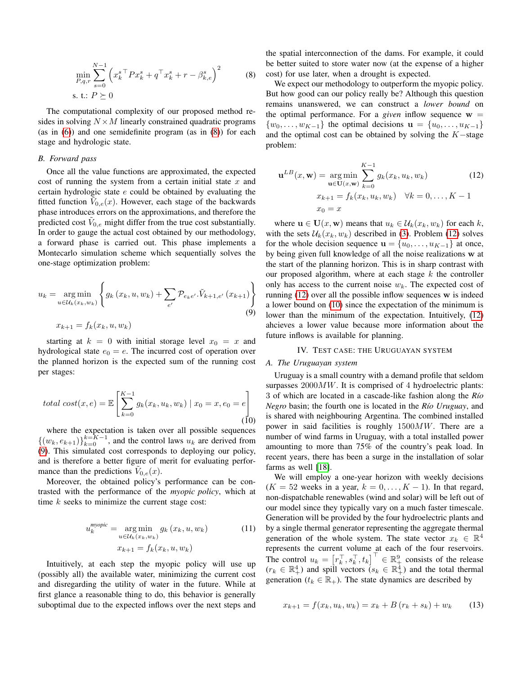$$
\min_{P,q,r} \sum_{s=0}^{N-1} \left( x_k^{s \top} P x_k^s + q^\top x_k^s + r - \beta_{k,e}^s \right)^2
$$
\ns. t.:  $P \succeq 0$ 

The computational complexity of our proposed method resides in solving  $N \times M$  linearly constrained quadratic programs (as in [\(6\)](#page-1-4)) and one semidefinite program (as in [\(8\)](#page-2-1)) for each stage and hydrologic state.

# <span id="page-2-6"></span>*B. Forward pass*

Once all the value functions are approximated, the expected cost of running the system from a certain initial state  $x$  and certain hydrologic state  $e$  could be obtained by evaluating the fitted function  $\tilde{V}_{0,e}(x)$ . However, each stage of the backwards phase introduces errors on the approximations, and therefore the predicted cost  $V_{0,e}$  might differ from the true cost substantially. In order to gauge the actual cost obtained by our methodology, a forward phase is carried out. This phase implements a Montecarlo simulation scheme which sequentially solves the one-stage optimization problem:

$$
u_k = \underset{u \in U_k(x_k, w_k)}{\arg \min} \left\{ g_k(x_k, u, w_k) + \sum_{e'} \mathcal{P}_{e_k e'} \tilde{V}_{k+1, e'}(x_{k+1}) \right\}
$$
  
(9)  

$$
x_{k+1} = f_k(x_k, u, w_k)
$$

starting at  $k = 0$  with initial storage level  $x_0 = x$  and hydrological state  $e_0 = e$ . The incurred cost of operation over the planned horizon is the expected sum of the running cost per stages:

<span id="page-2-4"></span>total cost
$$
(x, e)
$$
 =  $\mathbb{E}\left[\sum_{k=0}^{K-1} g_k(x_k, u_k, w_k) \mid x_0 = x, e_0 = e\right]$  (10)

where the expectation is taken over all possible sequences  $\{(w_k, e_{k+1})\}_{k=0}^{k=K-1}$ , and the control laws  $u_k$  are derived from [\(9\)](#page-2-2). This simulated cost corresponds to deploying our policy, and is therefore a better figure of merit for evaluating performance than the predictions  $\tilde{V}_{0,e}(x)$ .

Moreover, the obtained policy's performance can be contrasted with the performance of the *myopic policy*, which at time  $k$  seeks to minimize the current stage cost:

$$
u_k^{m\rho\circ\mathsf{pic}} = \underset{u \in \mathcal{U}_k(x_k, w_k)}{\arg\min} g_k(x_k, u, w_k)
$$
(11)  

$$
x_{k+1} = f_k(x_k, u, w_k)
$$

Intuitively, at each step the myopic policy will use up (possibly all) the available water, minimizing the current cost and disregarding the utility of water in the future. While at first glance a reasonable thing to do, this behavior is generally suboptimal due to the expected inflows over the next steps and <span id="page-2-1"></span>the spatial interconnection of the dams. For example, it could be better suited to store water now (at the expense of a higher cost) for use later, when a drought is expected.

We expect our methodology to outperform the myopic policy. But how good can our policy really be? Although this question remains unanswered, we can construct a *lower bound* on the optimal performance. For a *given* inflow sequence  $w =$  $\{w_0, \ldots, w_{K-1}\}\$  the optimal decisions  $\mathbf{u} = \{u_0, \ldots, u_{K-1}\}\$ and the optimal cost can be obtained by solving the  $K$ -stage problem:

<span id="page-2-3"></span>
$$
\mathbf{u}^{LB}(x, \mathbf{w}) = \underset{\mathbf{u} \in \mathbf{U}(x, \mathbf{w})}{\arg \min} \sum_{k=0}^{K-1} g_k(x_k, u_k, w_k)
$$
(12)  

$$
x_{k+1} = f_k(x_k, u_k, w_k) \quad \forall k = 0, ..., K-1
$$

$$
x_0 = x
$$

where  $\mathbf{u} \in \mathbf{U}(x, \mathbf{w})$  means that  $u_k \in \mathcal{U}_k(x_k, w_k)$  for each k, with the sets  $U_k(x_k, w_k)$  described in [\(3\)](#page-1-5). Problem [\(12\)](#page-2-3) solves for the whole decision sequence  $\mathbf{u} = \{u_0, \dots, u_{K-1}\}\$ at once, by being given full knowledge of all the noise realizations w at the start of the planning horizon. This is in sharp contrast with our proposed algorithm, where at each stage  $k$  the controller only has access to the current noise  $w_k$ . The expected cost of running [\(12\)](#page-2-3) over all the possible inflow sequences w is indeed a lower bound on [\(10\)](#page-2-4) since the expectation of the minimum is lower than the minimum of the expectation. Intuitively,  $(12)$ ahcieves a lower value because more information about the future inflows is available for planning.

## IV. TEST CASE: THE URUGUAYAN SYSTEM

## <span id="page-2-2"></span><span id="page-2-0"></span>*A. The Uruguayan system*

Uruguay is a small country with a demand profile that seldom surpasses  $2000MW$ . It is comprised of 4 hydroelectric plants: 3 of which are located in a cascade-like fashion along the *R´ıo Negro* basin; the fourth one is located in the *Río Uruguay*, and is shared with neighbouring Argentina. The combined installed power in said facilities is roughly 1500MW. There are a number of wind farms in Uruguay, with a total installed power amounting to more than 75% of the country's peak load. In recent years, there has been a surge in the installation of solar farms as well [\[18\]](#page-5-17).

<span id="page-2-5"></span>We will employ a one-year horizon with weekly decisions  $(K = 52$  weeks in a year,  $k = 0, \ldots, K - 1$ ). In that regard, non-dispatchable renewables (wind and solar) will be left out of our model since they typically vary on a much faster timescale. Generation will be provided by the four hydroelectric plants and by a single thermal generator representing the aggregate thermal generation of the whole system. The state vector  $x_k \in \mathbb{R}^4$ represents the current volume at each of the four reservoirs. The control  $u_k = \left[ r_k^{\top}, s_k^{\top}, t_k \right]^{\top} \in \mathbb{R}_+^9$  consists of the release  $(r_k \in \mathbb{R}_+^4)$  and spill vectors  $(s_k \in \mathbb{R}_+^4)$  and the total thermal generation ( $t_k \in \mathbb{R}_+$ ). The state dynamics are described by

$$
x_{k+1} = f(x_k, u_k, w_k) = x_k + B(r_k + s_k) + w_k \tag{13}
$$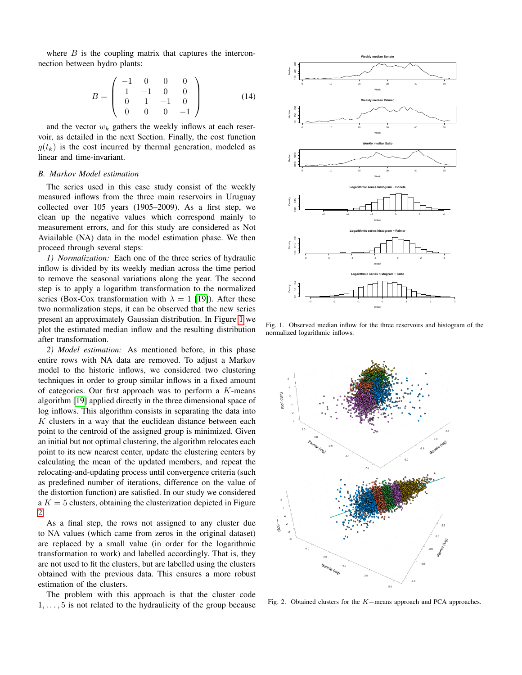where  $B$  is the coupling matrix that captures the interconnection between hydro plants:

$$
B = \left(\begin{array}{cccc} -1 & 0 & 0 & 0\\ 1 & -1 & 0 & 0\\ 0 & 1 & -1 & 0\\ 0 & 0 & 0 & -1 \end{array}\right) (14)
$$

and the vector  $w_k$  gathers the weekly inflows at each reservoir, as detailed in the next Section. Finally, the cost function  $g(t_k)$  is the cost incurred by thermal generation, modeled as linear and time-invariant.

# <span id="page-3-0"></span>*B. Markov Model estimation*

The series used in this case study consist of the weekly measured inflows from the three main reservoirs in Uruguay collected over 105 years (1905–2009). As a first step, we clean up the negative values which correspond mainly to measurement errors, and for this study are considered as Not Aviailable (NA) data in the model estimation phase. We then proceed through several steps:

*1) Normalization:* Each one of the three series of hydraulic inflow is divided by its weekly median across the time period to remove the seasonal variations along the year. The second step is to apply a logarithm transformation to the normalized series (Box-Cox transformation with  $\lambda = 1$  [\[19\]](#page-5-18)). After these two normalization steps, it can be observed that the new series present an approximately Gaussian distribution. In Figure [1](#page-3-1) we plot the estimated median inflow and the resulting distribution after transformation.

*2) Model estimation:* As mentioned before, in this phase entire rows with NA data are removed. To adjust a Markov model to the historic inflows, we considered two clustering techniques in order to group similar inflows in a fixed amount of categories. Our first approach was to perform a  $K$ -means algorithm [\[19\]](#page-5-18) applied directly in the three dimensional space of log inflows. This algorithm consists in separating the data into  $K$  clusters in a way that the euclidean distance between each point to the centroid of the assigned group is minimized. Given an initial but not optimal clustering, the algorithm relocates each point to its new nearest center, update the clustering centers by calculating the mean of the updated members, and repeat the relocating-and-updating process until convergence criteria (such as predefined number of iterations, difference on the value of the distortion function) are satisfied. In our study we considered  $a K = 5$  clusters, obtaining the clusterization depicted in Figure [2.](#page-3-2)

As a final step, the rows not assigned to any cluster due to NA values (which came from zeros in the original dataset) are replaced by a small value (in order for the logarithmic transformation to work) and labelled accordingly. That is, they are not used to fit the clusters, but are labelled using the clusters obtained with the previous data. This ensures a more robust estimation of the clusters.

The problem with this approach is that the cluster code  $1, \ldots, 5$  is not related to the hydraulicity of the group because



<span id="page-3-1"></span>Fig. 1. Observed median inflow for the three reservoirs and histogram of the normalized logarithmic inflows.



<span id="page-3-2"></span>Fig. 2. Obtained clusters for the K−means approach and PCA approaches.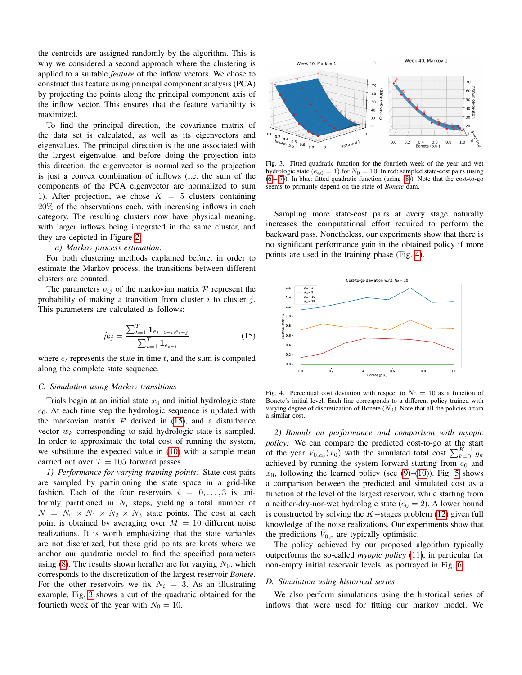the centroids are assigned randomly by the algorithm. This is why we considered a second approach where the clustering is applied to a suitable *feature* of the inflow vectors. We chose to construct this feature using principal component analysis (PCA) by projecting the points along the principal component axis of the inflow vector. This ensures that the feature variability is maximized.

To find the principal direction, the covariance matrix of the data set is calculated, as well as its eigenvectors and eigenvalues. The principal direction is the one associated with the largest eigenvalue, and before doing the projection into this direction, the eigenvector is normalized so the projection is just a convex combination of inflows (i.e. the sum of the components of the PCA eigenvector are normalized to sum 1). After projection, we chose  $K = 5$  clusters containing 20% of the observations each, with increasing inflows in each category. The resulting clusters now have physical meaning, with larger inflows being integrated in the same cluster, and they are depicted in Figure [2.](#page-3-2)

# *a) Markov process estimation:*

For both clustering methods explained before, in order to estimate the Markov process, the transitions between different clusters are counted.

The parameters  $p_{ij}$  of the markovian matrix  $P$  represent the probability of making a transition from cluster  $i$  to cluster  $j$ . This parameters are calculated as follows:

<span id="page-4-0"></span>
$$
\widehat{p}_{ij} = \frac{\sum_{t=1}^{T} \mathbf{1}_{e_{t-1=i}, e_{t=j}}}{\sum_{t=1}^{T} \mathbf{1}_{e_{t=i}}}
$$
\n(15)

where  $e_t$  represents the state in time t, and the sum is computed along the complete state sequence.

## *C. Simulation using Markov transitions*

Trials begin at an initial state  $x_0$  and initial hydrologic state  $e_0$ . At each time step the hydrologic sequence is updated with the markovian matrix  $P$  derived in [\(15\)](#page-4-0), and a disturbance vector  $w_k$  corresponding to said hydrologic state is sampled. In order to approximate the total cost of running the system, we substitute the expected value in [\(10\)](#page-2-4) with a sample mean carried out over  $T = 105$  forward passes.

*1) Performance for varying training points:* State-cost pairs are sampled by partinioning the state space in a grid-like fashion. Each of the four reservoirs  $i = 0, \ldots, 3$  is uniformly partitioned in  $N_i$  steps, yielding a total number of  $N = N_0 \times N_1 \times N_2 \times N_3$  state points. The cost at each point is obtained by averaging over  $M = 10$  different noise realizations. It is worth emphasizing that the state variables are not discretized, but these grid points are knots where we anchor our quadratic model to find the specified parameters using [\(8\)](#page-2-1). The results shown herafter are for varying  $N_0$ , which corresponds to the discretization of the largest reservoir *Bonete*. For the other reservoirs we fix  $N_i = 3$ . As an illustrating example, Fig. [3](#page-4-1) shows a cut of the quadratic obtained for the fourtieth week of the year with  $N_0 = 10$ .



<span id="page-4-1"></span>Fig. 3. Fitted quadratic function for the fourtieth week of the year and wet hydrologic state ( $e_{40} = 1$ ) for  $N_0 = 10$ . In red: sampled state-cost pairs (using  $(6)$ – $(7)$ ). In blue: fitted quadratic function (using  $(8)$ ). Note that the cost-to-go seems to primarily depend on the state of *Bonete* dam.

Sampling more state-cost pairs at every stage naturally increases the computational effort required to perform the backward pass. Nonetheless, our experiments show that there is no significant performance gain in the obtained policy if more points are used in the training phase (Fig. [4\)](#page-4-2).



<span id="page-4-2"></span>Fig. 4. Percentual cost deviation with respect to  $N_0 = 10$  as a function of Bonete's initial level. Each line corresponds to a different policy trained with varying degree of discretization of Bonete  $(N_0)$ . Note that all the policies attain a similar cost.

*2) Bounds on performance and comparison with myopic policy:* We can compare the predicted cost-to-go at the start of the year  $V_{0,e_0}(x_0)$  with the simulated total cost  $\sum_{k=0}^{K-1} g_k$ achieved by running the system forward starting from  $e_0$  and  $x_0$ , following the learned policy (see [\(9\)](#page-2-2)–[\(10\)](#page-2-4)). Fig. [5](#page-5-19) shows a comparison between the predicted and simulated cost as a function of the level of the largest reservoir, while starting from a neither-dry-nor-wet hydrologic state ( $e_0 = 2$ ). A lower bound is constructed by solving the K−stages problem [\(12\)](#page-2-3) given full knowledge of the noise realizations. Our experiments show that the predictions  $V_{0,e}$  are typically optimistic.

The policy achieved by our proposed algorithm typically outperforms the so-called *myopic policy* [\(11\)](#page-2-5), in particular for non-empty initial reservoir levels, as portrayed in Fig. [6.](#page-5-20)

## *D. Simulation using historical series*

We also perform simulations using the historical series of inflows that were used for fitting our markov model. We